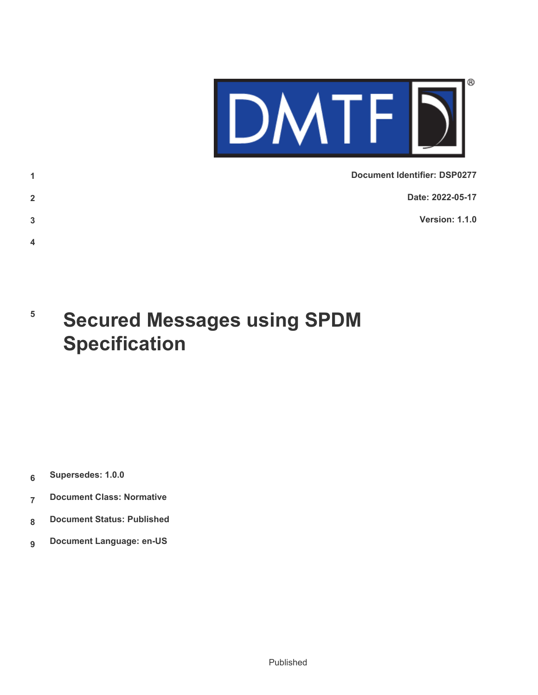

**Document Identifier: DSP0277**

**Date: 2022-05-17**

**Version: 1.1.0**

- **2 3**
- **4**

**1**

# **<sup>5</sup> Secured Messages using SPDM Specification**

- **6 Supersedes: 1.0.0**
- **7 Document Class: Normative**
- **8 Document Status: Published**
- **9 Document Language: en-US**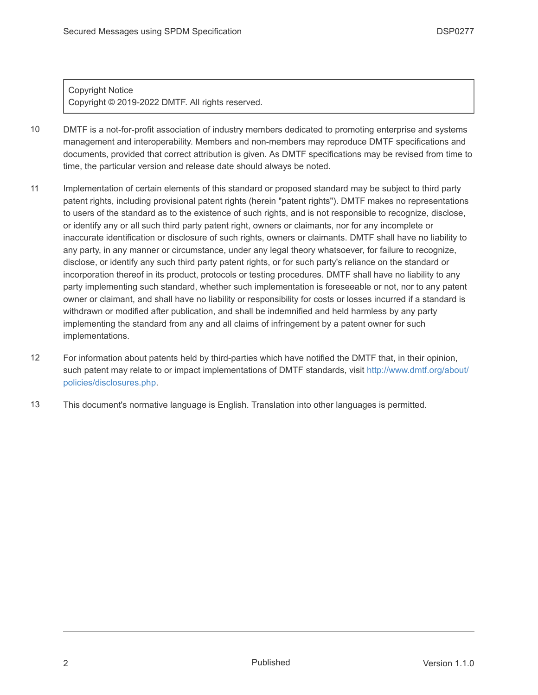### Copyright Notice Copyright © 2019-2022 DMTF. All rights reserved.

- 10 DMTF is a not-for-profit association of industry members dedicated to promoting enterprise and systems management and interoperability. Members and non-members may reproduce DMTF specifications and documents, provided that correct attribution is given. As DMTF specifications may be revised from time to time, the particular version and release date should always be noted.
- 11 Implementation of certain elements of this standard or proposed standard may be subject to third party patent rights, including provisional patent rights (herein "patent rights"). DMTF makes no representations to users of the standard as to the existence of such rights, and is not responsible to recognize, disclose, or identify any or all such third party patent right, owners or claimants, nor for any incomplete or inaccurate identification or disclosure of such rights, owners or claimants. DMTF shall have no liability to any party, in any manner or circumstance, under any legal theory whatsoever, for failure to recognize, disclose, or identify any such third party patent rights, or for such party's reliance on the standard or incorporation thereof in its product, protocols or testing procedures. DMTF shall have no liability to any party implementing such standard, whether such implementation is foreseeable or not, nor to any patent owner or claimant, and shall have no liability or responsibility for costs or losses incurred if a standard is withdrawn or modified after publication, and shall be indemnified and held harmless by any party implementing the standard from any and all claims of infringement by a patent owner for such implementations.
- 12 For information about patents held by third-parties which have notified the DMTF that, in their opinion, such patent may relate to or impact implementations of DMTF standards, visit [http://www.dmtf.org/about/](http://www.dmtf.org/about/policies/disclosures.php) [policies/disclosures.php.](http://www.dmtf.org/about/policies/disclosures.php)
- 13 This document's normative language is English. Translation into other languages is permitted.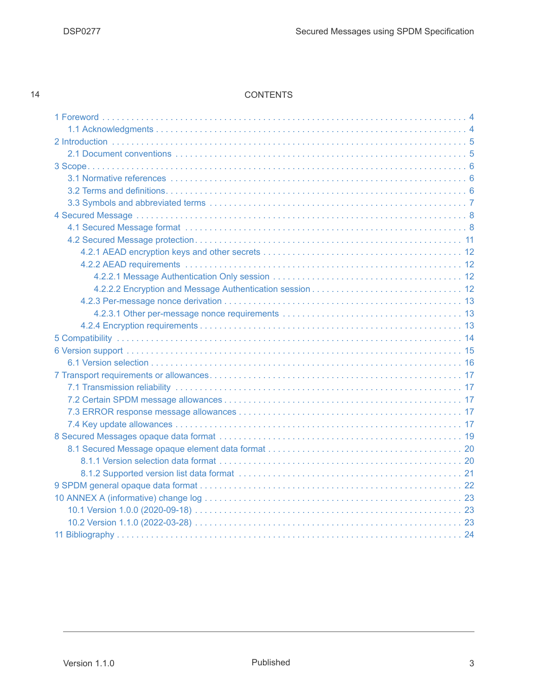### 14 CONTENTS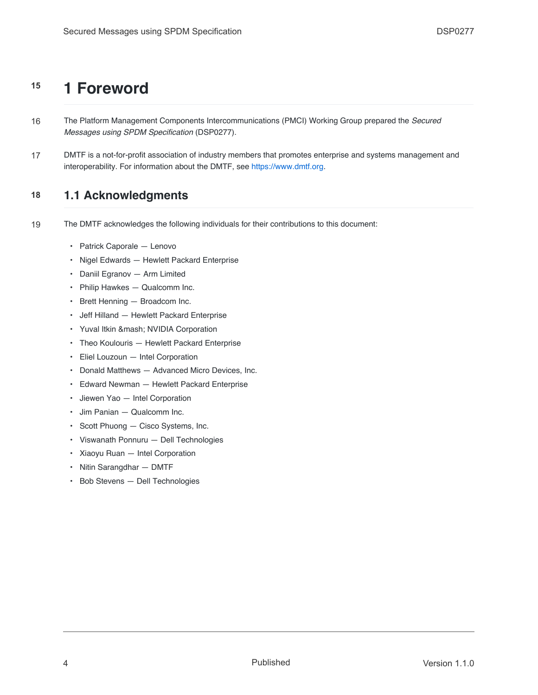# <span id="page-3-0"></span>**<sup>15</sup> 1 Foreword**

- 16 The Platform Management Components Intercommunications (PMCI) Working Group prepared the *Secured Messages using SPDM Specification* (DSP0277).
- 17 DMTF is a not-for-profit association of industry members that promotes enterprise and systems management and interoperability. For information about the DMTF, see [https://www.dmtf.org](https://www.dmtf.org/).

### <span id="page-3-1"></span>**18 1.1 Acknowledgments**

- 19 The DMTF acknowledges the following individuals for their contributions to this document:
	- Patrick Caporale Lenovo
	- Nigel Edwards Hewlett Packard Enterprise
	- Daniil Egranov Arm Limited
	- Philip Hawkes Qualcomm Inc.
	- Brett Henning Broadcom Inc.
	- Jeff Hilland Hewlett Packard Enterprise
	- Yuval Itkin &mash; NVIDIA Corporation
	- Theo Koulouris Hewlett Packard Enterprise
	- Eliel Louzoun Intel Corporation
	- Donald Matthews Advanced Micro Devices, Inc.
	- Edward Newman Hewlett Packard Enterprise
	- Jiewen Yao Intel Corporation
	- Jim Panian Qualcomm Inc.
	- Scott Phuong Cisco Systems, Inc.
	- Viswanath Ponnuru Dell Technologies
	- Xiaoyu Ruan Intel Corporation
	- Nitin Sarangdhar DMTF
	- Bob Stevens Dell Technologies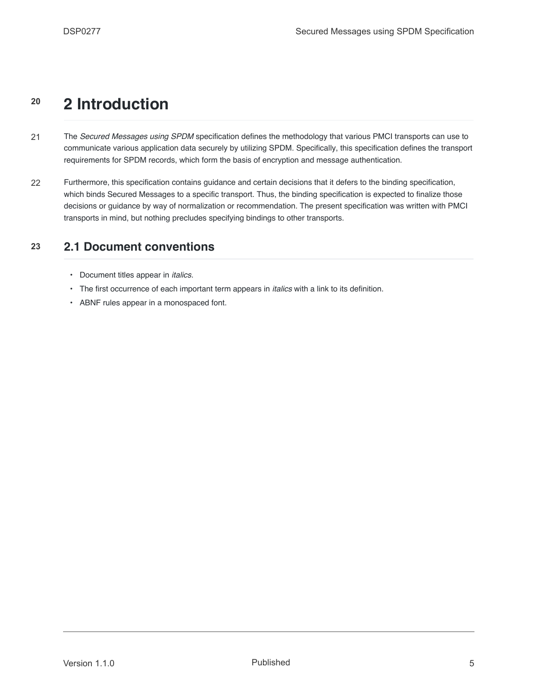# <span id="page-4-0"></span>**<sup>20</sup> 2 Introduction**

- 21 The *Secured Messages using SPDM* specification defines the methodology that various PMCI transports can use to communicate various application data securely by utilizing SPDM. Specifically, this specification defines the transport requirements for SPDM records, which form the basis of encryption and message authentication.
- 22 Furthermore, this specification contains guidance and certain decisions that it defers to the binding specification, which binds Secured Messages to a specific transport. Thus, the binding specification is expected to finalize those decisions or guidance by way of normalization or recommendation. The present specification was written with PMCI transports in mind, but nothing precludes specifying bindings to other transports.

### <span id="page-4-1"></span>**23 2.1 Document conventions**

- Document titles appear in *italics*.
- The first occurrence of each important term appears in *italics* with a link to its definition.
- ABNF rules appear in a monospaced font.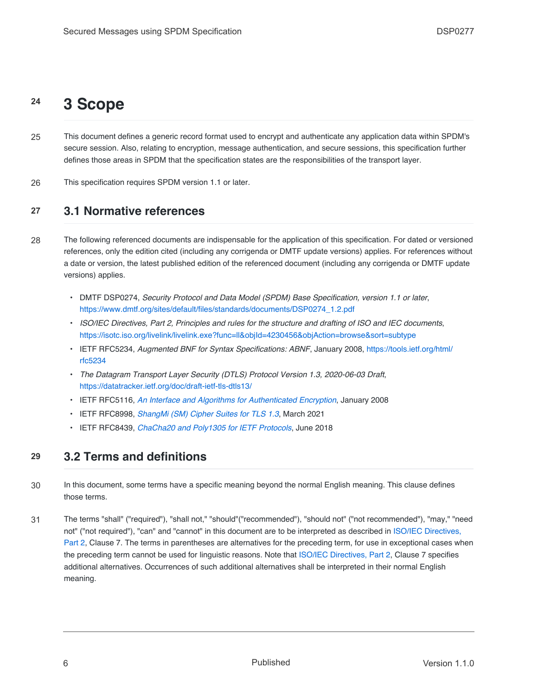# <span id="page-5-0"></span>**<sup>24</sup> 3 Scope**

- 25 This document defines a generic record format used to encrypt and authenticate any application data within SPDM's secure session. Also, relating to encryption, message authentication, and secure sessions, this specification further defines those areas in SPDM that the specification states are the responsibilities of the transport layer.
- 26 This specification requires SPDM version 1.1 or later.

### <span id="page-5-1"></span>**27 3.1 Normative references**

- <span id="page-5-4"></span><span id="page-5-3"></span>28 The following referenced documents are indispensable for the application of this specification. For dated or versioned references, only the edition cited (including any corrigenda or DMTF update versions) applies. For references without a date or version, the latest published edition of the referenced document (including any corrigenda or DMTF update versions) applies.
	- DMTF DSP0274, *Security Protocol and Data Model (SPDM) Base Specification, version 1.1 or later*, [https://www.dmtf.org/sites/default/files/standards/documents/DSP0274\\_1.2.pdf](https://www.dmtf.org/sites/default/files/standards/documents/DSP0274_1.2.pdf)
	- *ISO/IEC Directives, Part 2, Principles and rules for the structure and drafting of ISO and IEC documents*, <https://isotc.iso.org/livelink/livelink.exe?func=ll&objId=4230456&objAction=browse&sort=subtype>
	- IETF RFC5234, *Augmented BNF for Syntax Specifications: ABNF*, January 2008, [https://tools.ietf.org/html/](https://tools.ietf.org/html/rfc5234) [rfc5234](https://tools.ietf.org/html/rfc5234)
	- *The Datagram Transport Layer Security (DTLS) Protocol Version 1.3, 2020-06-03 Draft*, <https://datatracker.ietf.org/doc/draft-ietf-tls-dtls13/>
	- IETF RFC5116, *[An Interface and Algorithms for Authenticated Encryption](https://tools.ietf.org/html/rfc5116)*, January 2008
	- IETF RFC8998, *[ShangMi \(SM\) Cipher Suites for TLS 1.3](https://tools.ietf.org/html/rfc8998)*, March 2021
	- IETF RFC8439, *[ChaCha20 and Poly1305 for IETF Protocols](https://tools.ietf.org/html/rfc8439)*, June 2018

### <span id="page-5-8"></span><span id="page-5-7"></span><span id="page-5-6"></span><span id="page-5-5"></span><span id="page-5-2"></span>**29 3.2 Terms and definitions**

- 30 In this document, some terms have a specific meaning beyond the normal English meaning. This clause defines those terms.
- 31 The terms "shall" ("required"), "shall not," "should"("recommended"), "should not" ("not recommended"), "may," "need not" ("not required"), "can" and "cannot" in this document are to be interpreted as described in [ISO/IEC Directives,](#page-5-3) [Part 2,](#page-5-3) Clause 7. The terms in parentheses are alternatives for the preceding term, for use in exceptional cases when the preceding term cannot be used for linguistic reasons. Note that [ISO/IEC Directives, Part 2](#page-5-3), Clause 7 specifies additional alternatives. Occurrences of such additional alternatives shall be interpreted in their normal English meaning.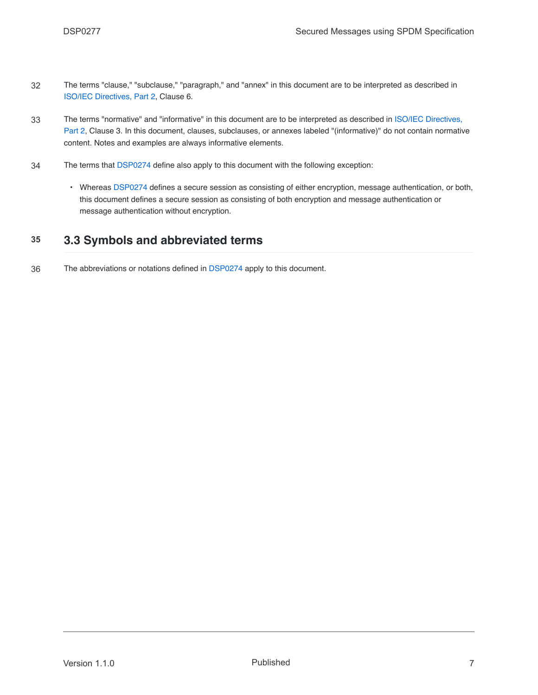- 32 The terms "clause," "subclause," "paragraph," and "annex" in this document are to be interpreted as described in [ISO/IEC Directives, Part 2,](#page-5-3) Clause 6.
- 33 The terms "normative" and "informative" in this document are to be interpreted as described in [ISO/IEC Directives,](#page-5-3) [Part 2,](#page-5-3) Clause 3. In this document, clauses, subclauses, or annexes labeled "(informative)" do not contain normative content. Notes and examples are always informative elements.
- 34 The terms that [DSP0274](#page-5-4) define also apply to this document with the following exception:
	- Whereas [DSP0274](#page-5-4) defines a secure session as consisting of either encryption, message authentication, or both, this document defines a secure session as consisting of both encryption and message authentication or message authentication without encryption.

### <span id="page-6-0"></span>**35 3.3 Symbols and abbreviated terms**

36 The abbreviations or notations defined in [DSP0274](#page-5-4) apply to this document.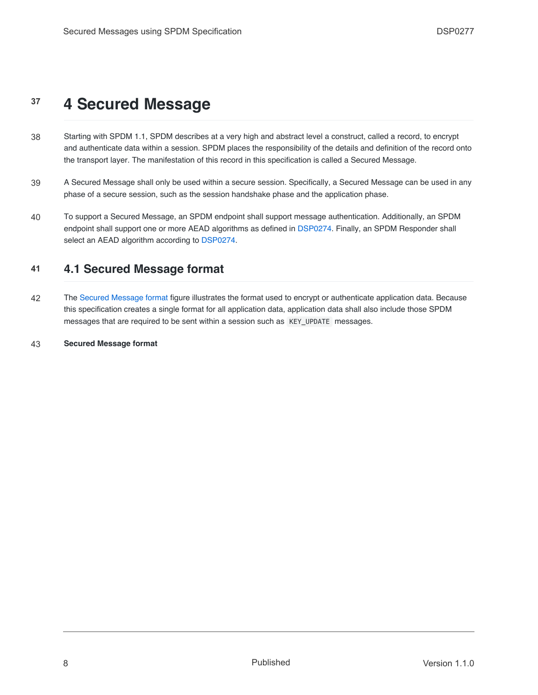# <span id="page-7-0"></span>**<sup>37</sup> 4 Secured Message**

- 38 Starting with SPDM 1.1, SPDM describes at a very high and abstract level a construct, called a record, to encrypt and authenticate data within a session. SPDM places the responsibility of the details and definition of the record onto the transport layer. The manifestation of this record in this specification is called a Secured Message.
- 39 A Secured Message shall only be used within a secure session. Specifically, a Secured Message can be used in any phase of a secure session, such as the session handshake phase and the application phase.
- 40 To support a Secured Message, an SPDM endpoint shall support message authentication. Additionally, an SPDM endpoint shall support one or more AEAD algorithms as defined in [DSP0274](#page-5-4). Finally, an SPDM Responder shall select an AEAD algorithm according to [DSP0274.](#page-5-4)

### <span id="page-7-1"></span>**41 4.1 Secured Message format**

42 The [Secured Message format](#page-7-2) figure illustrates the format used to encrypt or authenticate application data. Because this specification creates a single format for all application data, application data shall also include those SPDM messages that are required to be sent within a session such as KEY\_UPDATE messages.

#### <span id="page-7-2"></span>43 **Secured Message format**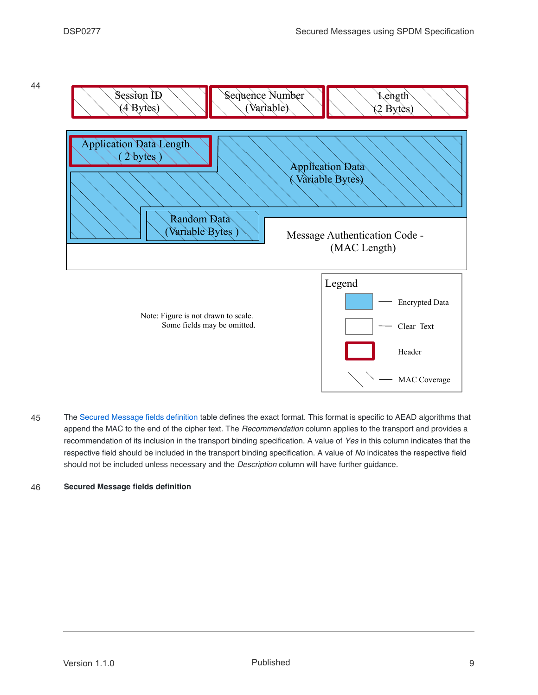

45 The [Secured Message fields definition](#page-8-0) table defines the exact format. This format is specific to AEAD algorithms that append the MAC to the end of the cipher text. The *Recommendation* column applies to the transport and provides a recommendation of its inclusion in the transport binding specification. A value of *Yes* in this column indicates that the respective field should be included in the transport binding specification. A value of *No* indicates the respective field should not be included unless necessary and the *Description* column will have further guidance.

### <span id="page-8-0"></span>46 **Secured Message fields definition**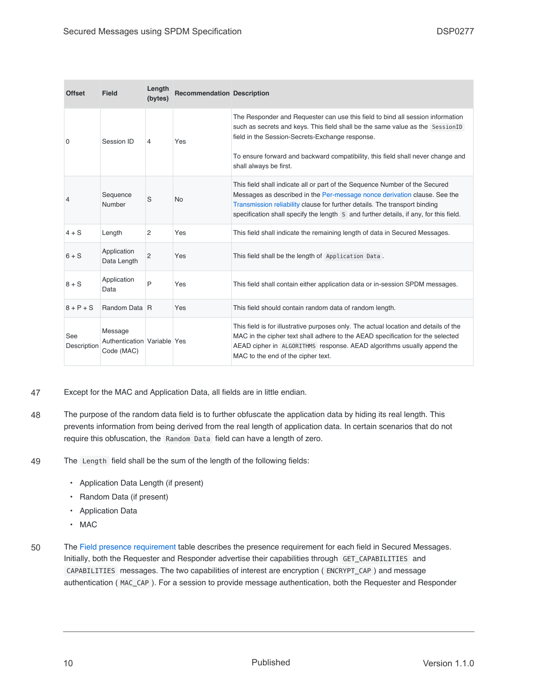| <b>Offset</b>      | <b>Field</b>                                         | Length<br>(bytes) | <b>Recommendation Description</b> |                                                                                                                                                                                                                                                                                                                                 |
|--------------------|------------------------------------------------------|-------------------|-----------------------------------|---------------------------------------------------------------------------------------------------------------------------------------------------------------------------------------------------------------------------------------------------------------------------------------------------------------------------------|
| 0                  | Session ID                                           | $\overline{4}$    | Yes                               | The Responder and Requester can use this field to bind all session information<br>such as secrets and keys. This field shall be the same value as the SessionID<br>field in the Session-Secrets-Exchange response.<br>To ensure forward and backward compatibility, this field shall never change and<br>shall always be first. |
| 4                  | Sequence<br>Number                                   | S                 | <b>No</b>                         | This field shall indicate all or part of the Sequence Number of the Secured<br>Messages as described in the Per-message nonce derivation clause. See the<br>Transmission reliability clause for further details. The transport binding<br>specification shall specify the length S and further details, if any, for this field. |
| $4 + S$            | Length                                               | 2                 | Yes                               | This field shall indicate the remaining length of data in Secured Messages.                                                                                                                                                                                                                                                     |
| $6 + S$            | Application<br>Data Length                           | $\overline{2}$    | Yes                               | This field shall be the length of Application Data.                                                                                                                                                                                                                                                                             |
| $8 + S$            | Application<br>Data                                  | P                 | Yes                               | This field shall contain either application data or in-session SPDM messages.                                                                                                                                                                                                                                                   |
| $8 + P + S$        | Random Data R                                        |                   | Yes                               | This field should contain random data of random length.                                                                                                                                                                                                                                                                         |
| See<br>Description | Message<br>Authentication Variable Yes<br>Code (MAC) |                   |                                   | This field is for illustrative purposes only. The actual location and details of the<br>MAC in the cipher text shall adhere to the AEAD specification for the selected<br>AEAD cipher in ALGORITHMS response. AEAD algorithms usually append the<br>MAC to the end of the cipher text.                                          |

- 47 Except for the MAC and Application Data, all fields are in little endian.
- 48 The purpose of the random data field is to further obfuscate the application data by hiding its real length. This prevents information from being derived from the real length of application data. In certain scenarios that do not require this obfuscation, the Random Data field can have a length of zero.
- 49 The Length field shall be the sum of the length of the following fields:
	- Application Data Length (if present)
	- Random Data (if present)
	- Application Data
	- MAC
- 50 The [Field presence requirement](#page-10-1) table describes the presence requirement for each field in Secured Messages. Initially, both the Requester and Responder advertise their capabilities through GET\_CAPABILITIES and CAPABILITIES messages. The two capabilities of interest are encryption ( ENCRYPT\_CAP ) and message authentication ( MAC\_CAP ). For a session to provide message authentication, both the Requester and Responder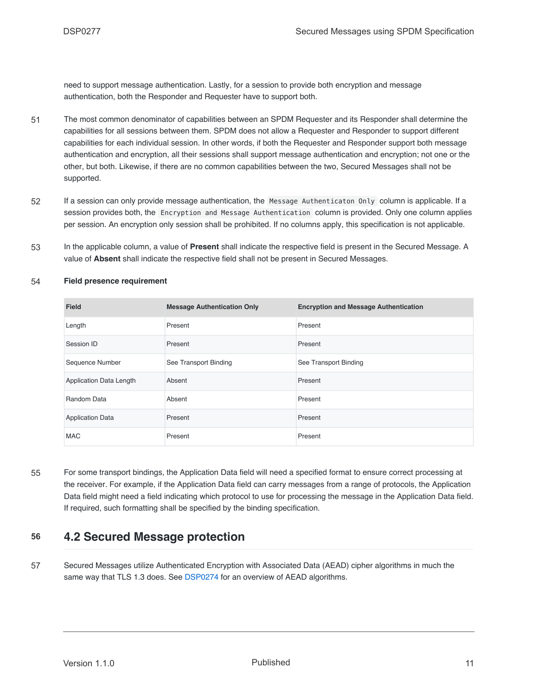need to support message authentication. Lastly, for a session to provide both encryption and message authentication, both the Responder and Requester have to support both.

- 51 The most common denominator of capabilities between an SPDM Requester and its Responder shall determine the capabilities for all sessions between them. SPDM does not allow a Requester and Responder to support different capabilities for each individual session. In other words, if both the Requester and Responder support both message authentication and encryption, all their sessions shall support message authentication and encryption; not one or the other, but both. Likewise, if there are no common capabilities between the two, Secured Messages shall not be supported.
- 52 If a session can only provide message authentication, the Message Authenticaton Only column is applicable. If a session provides both, the Encryption and Message Authentication column is provided. Only one column applies per session. An encryption only session shall be prohibited. If no columns apply, this specification is not applicable.
- 53 In the applicable column, a value of **Present** shall indicate the respective field is present in the Secured Message. A value of **Absent** shall indicate the respective field shall not be present in Secured Messages.

| <b>Field</b>            | <b>Message Authentication Only</b> | <b>Encryption and Message Authentication</b> |
|-------------------------|------------------------------------|----------------------------------------------|
| Length                  | Present                            | Present                                      |
| Session ID              | Present                            | Present                                      |
| Sequence Number         | See Transport Binding              | See Transport Binding                        |
| Application Data Length | Absent                             | Present                                      |
| Random Data             | Absent                             | Present                                      |
| <b>Application Data</b> | Present                            | Present                                      |
| <b>MAC</b>              | Present                            | Present                                      |

### <span id="page-10-1"></span>54 **Field presence requirement**

55 For some transport bindings, the Application Data field will need a specified format to ensure correct processing at the receiver. For example, if the Application Data field can carry messages from a range of protocols, the Application Data field might need a field indicating which protocol to use for processing the message in the Application Data field. If required, such formatting shall be specified by the binding specification.

# <span id="page-10-0"></span>**56 4.2 Secured Message protection**

57 Secured Messages utilize Authenticated Encryption with Associated Data (AEAD) cipher algorithms in much the same way that TLS 1.3 does. See [DSP0274](#page-5-4) for an overview of AEAD algorithms.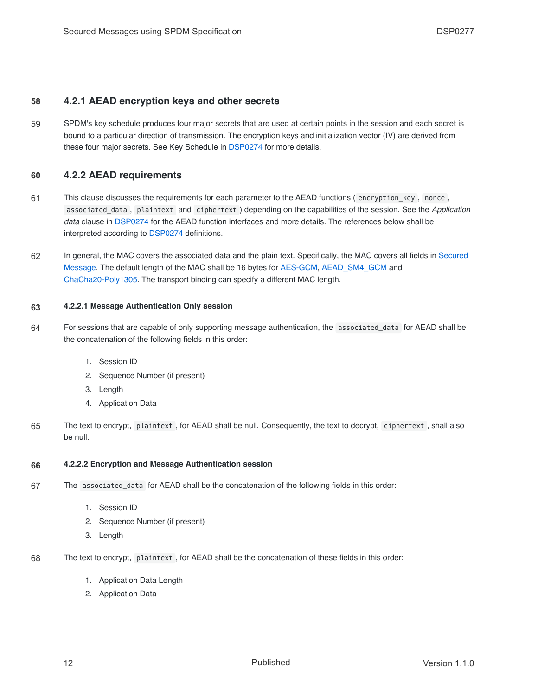### <span id="page-11-0"></span>**58 4.2.1 AEAD encryption keys and other secrets**

59 SPDM's key schedule produces four major secrets that are used at certain points in the session and each secret is bound to a particular direction of transmission. The encryption keys and initialization vector (IV) are derived from these four major secrets. See Key Schedule in [DSP0274](#page-5-4) for more details.

### <span id="page-11-1"></span>**60 4.2.2 AEAD requirements**

- 61 This clause discusses the requirements for each parameter to the AEAD functions ( encryption\_key , nonce , associated\_data , plaintext and ciphertext ) depending on the capabilities of the session. See the *Application data* clause in [DSP0274](#page-5-4) for the AEAD function interfaces and more details. The references below shall be interpreted according to [DSP0274](#page-5-4) definitions.
- 62 In general, the MAC covers the associated data and the plain text. Specifically, the MAC covers all fields in [Secured](#page-8-0) [Message](#page-8-0). The default length of the MAC shall be 16 bytes for [AES-GCM](#page-5-5), [AEAD\\_SM4\\_GCM](#page-5-6) and [ChaCha20-Poly1305](#page-5-7). The transport binding can specify a different MAC length.

#### <span id="page-11-2"></span>**63 4.2.2.1 Message Authentication Only session**

- 64 For sessions that are capable of only supporting message authentication, the associated\_data for AEAD shall be the concatenation of the following fields in this order:
	- 1. Session ID
	- 2. Sequence Number (if present)
	- 3. Length
	- 4. Application Data
- 65 The text to encrypt, plaintext , for AEAD shall be null. Consequently, the text to decrypt, ciphertext , shall also be null.

#### <span id="page-11-3"></span>**66 4.2.2.2 Encryption and Message Authentication session**

- 67 The associated\_data for AEAD shall be the concatenation of the following fields in this order:
	- 1. Session ID
	- 2. Sequence Number (if present)
	- 3. Length
- 68 The text to encrypt, plaintext , for AEAD shall be the concatenation of these fields in this order:
	- 1. Application Data Length
	- 2. Application Data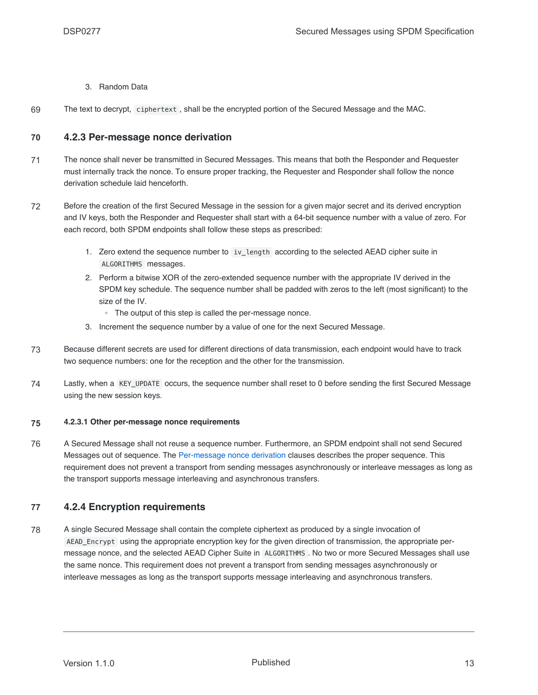#### 3. Random Data

69 The text to decrypt, ciphertext , shall be the encrypted portion of the Secured Message and the MAC.

### <span id="page-12-0"></span>**70 4.2.3 Per-message nonce derivation**

- 71 The nonce shall never be transmitted in Secured Messages. This means that both the Responder and Requester must internally track the nonce. To ensure proper tracking, the Requester and Responder shall follow the nonce derivation schedule laid henceforth.
- 72 Before the creation of the first Secured Message in the session for a given major secret and its derived encryption and IV keys, both the Responder and Requester shall start with a 64-bit sequence number with a value of zero. For each record, both SPDM endpoints shall follow these steps as prescribed:
	- 1. Zero extend the sequence number to iv length according to the selected AEAD cipher suite in ALGORITHMS messages.
	- 2. Perform a bitwise XOR of the zero-extended sequence number with the appropriate IV derived in the SPDM key schedule. The sequence number shall be padded with zeros to the left (most significant) to the size of the IV.
		- The output of this step is called the per-message nonce.
	- 3. Increment the sequence number by a value of one for the next Secured Message.
- 73 Because different secrets are used for different directions of data transmission, each endpoint would have to track two sequence numbers: one for the reception and the other for the transmission.
- 74 Lastly, when a KEY\_UPDATE occurs, the sequence number shall reset to 0 before sending the first Secured Message using the new session keys.

#### <span id="page-12-1"></span>**75 4.2.3.1 Other per-message nonce requirements**

76 A Secured Message shall not reuse a sequence number. Furthermore, an SPDM endpoint shall not send Secured Messages out of sequence. The [Per-message nonce derivation](#page-12-0) clauses describes the proper sequence. This requirement does not prevent a transport from sending messages asynchronously or interleave messages as long as the transport supports message interleaving and asynchronous transfers.

### <span id="page-12-2"></span>**77 4.2.4 Encryption requirements**

78 A single Secured Message shall contain the complete ciphertext as produced by a single invocation of AEAD\_Encrypt using the appropriate encryption key for the given direction of transmission, the appropriate permessage nonce, and the selected AEAD Cipher Suite in ALGORITHMS . No two or more Secured Messages shall use the same nonce. This requirement does not prevent a transport from sending messages asynchronously or interleave messages as long as the transport supports message interleaving and asynchronous transfers.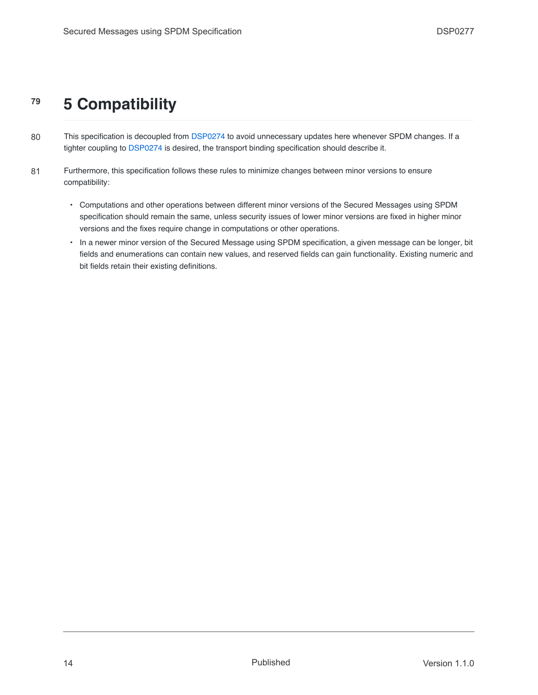# <span id="page-13-0"></span>**<sup>79</sup> 5 Compatibility**

- 80 This specification is decoupled from [DSP0274](#page-5-4) to avoid unnecessary updates here whenever SPDM changes. If a tighter coupling to [DSP0274](#page-5-4) is desired, the transport binding specification should describe it.
- 81 Furthermore, this specification follows these rules to minimize changes between minor versions to ensure compatibility:
	- Computations and other operations between different minor versions of the Secured Messages using SPDM specification should remain the same, unless security issues of lower minor versions are fixed in higher minor versions and the fixes require change in computations or other operations.
	- In a newer minor version of the Secured Message using SPDM specification, a given message can be longer, bit fields and enumerations can contain new values, and reserved fields can gain functionality. Existing numeric and bit fields retain their existing definitions.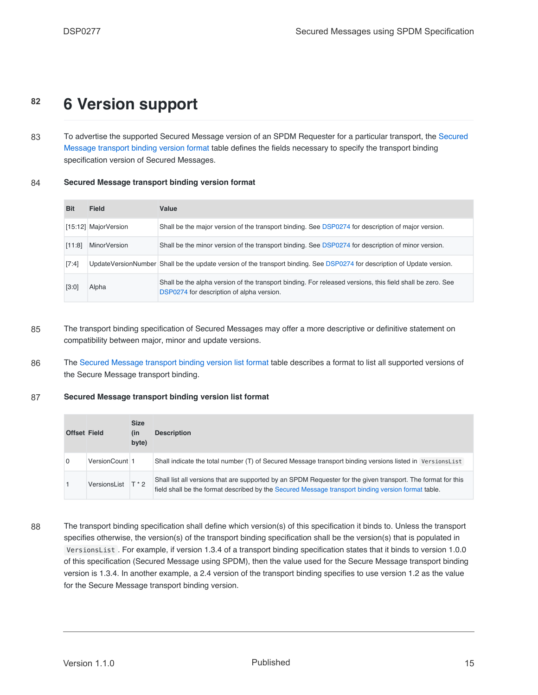# <span id="page-14-0"></span>**<sup>82</sup> 6 Version support**

83 To advertise the supported Secured Message version of an SPDM Requester for a particular transport, the [Secured](#page-14-1) [Message transport binding version format](#page-14-1) table defines the fields necessary to specify the transport binding specification version of Secured Messages.

#### <span id="page-14-1"></span>84 **Secured Message transport binding version format**

| <b>Bit</b> | <b>Field</b>         | Value                                                                                                                                                  |
|------------|----------------------|--------------------------------------------------------------------------------------------------------------------------------------------------------|
|            | [15:12] MajorVersion | Shall be the major version of the transport binding. See DSP0274 for description of major version.                                                     |
| [11:8]     | <b>MinorVersion</b>  | Shall be the minor version of the transport binding. See DSP0274 for description of minor version.                                                     |
| [7:4]      |                      | UpdateVersionNumber Shall be the update version of the transport binding. See DSP0274 for description of Update version.                               |
| [3:0]      | Alpha                | Shall be the alpha version of the transport binding. For released versions, this field shall be zero. See<br>DSP0274 for description of alpha version. |

- 85 The transport binding specification of Secured Messages may offer a more descriptive or definitive statement on compatibility between major, minor and update versions.
- 86 The [Secured Message transport binding version list format](#page-14-2) table describes a format to list all supported versions of the Secure Message transport binding.

### <span id="page-14-2"></span>87 **Secured Message transport binding version list format**

| <b>Offset Field</b> |                    | <b>Size</b><br>(in<br>byte) | <b>Description</b>                                                                                                                                                                                                 |
|---------------------|--------------------|-----------------------------|--------------------------------------------------------------------------------------------------------------------------------------------------------------------------------------------------------------------|
| $\overline{0}$      | VersionCount 1     |                             | Shall indicate the total number (T) of Secured Message transport binding versions listed in VersionsList                                                                                                           |
|                     | VersionsList T * 2 |                             | Shall list all versions that are supported by an SPDM Requester for the given transport. The format for this<br>field shall be the format described by the Secured Message transport binding version format table. |

88 The transport binding specification shall define which version(s) of this specification it binds to. Unless the transport specifies otherwise, the version(s) of the transport binding specification shall be the version(s) that is populated in VersionsList . For example, if version 1.3.4 of a transport binding specification states that it binds to version 1.0.0 of this specification (Secured Message using SPDM), then the value used for the Secure Message transport binding version is 1.3.4. In another example, a 2.4 version of the transport binding specifies to use version 1.2 as the value for the Secure Message transport binding version.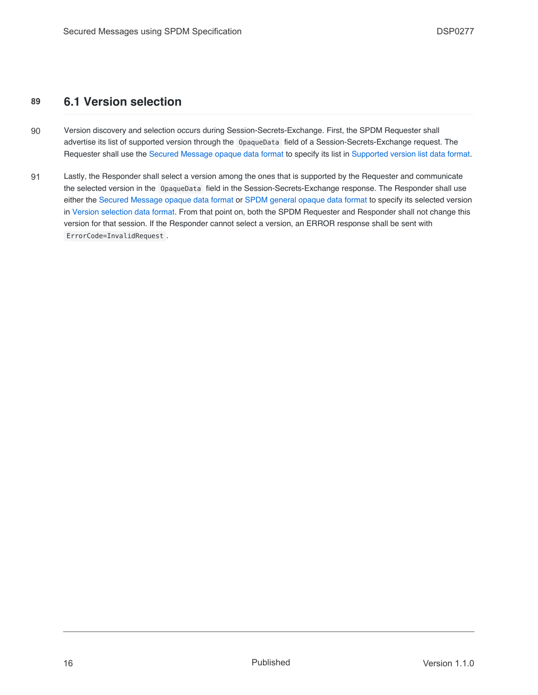### <span id="page-15-0"></span>**89 6.1 Version selection**

- 90 Version discovery and selection occurs during Session-Secrets-Exchange. First, the SPDM Requester shall advertise its list of supported version through the OpaqueData field of a Session-Secrets-Exchange request. The Requester shall use the [Secured Message opaque data format](#page-19-2) to specify its list in [Supported version list data format.](#page-20-0)
- 91 Lastly, the Responder shall select a version among the ones that is supported by the Requester and communicate the selected version in the OpaqueData field in the Session-Secrets-Exchange response. The Responder shall use either the [Secured Message opaque data format](#page-19-2) or [SPDM general opaque data format](#page-21-0) to specify its selected version in [Version selection data format.](#page-19-1) From that point on, both the SPDM Requester and Responder shall not change this version for that session. If the Responder cannot select a version, an ERROR response shall be sent with ErrorCode=InvalidRequest .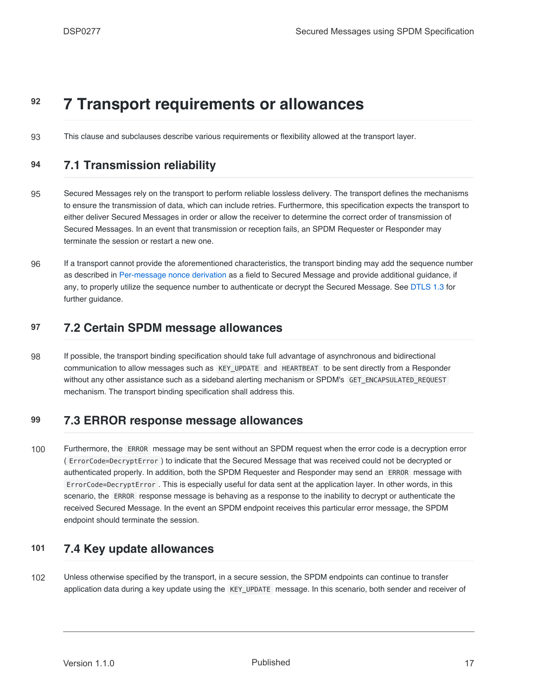# <span id="page-16-0"></span>**<sup>92</sup> 7 Transport requirements or allowances**

93 This clause and subclauses describe various requirements or flexibility allowed at the transport layer.

# <span id="page-16-1"></span>**94 7.1 Transmission reliability**

- 95 Secured Messages rely on the transport to perform reliable lossless delivery. The transport defines the mechanisms to ensure the transmission of data, which can include retries. Furthermore, this specification expects the transport to either deliver Secured Messages in order or allow the receiver to determine the correct order of transmission of Secured Messages. In an event that transmission or reception fails, an SPDM Requester or Responder may terminate the session or restart a new one.
- 96 If a transport cannot provide the aforementioned characteristics, the transport binding may add the sequence number as described in [Per-message nonce derivation](#page-12-0) as a field to Secured Message and provide additional guidance, if any, to properly utilize the sequence number to authenticate or decrypt the Secured Message. See [DTLS 1.3](#page-5-8) for further guidance.

### <span id="page-16-2"></span>**97 7.2 Certain SPDM message allowances**

98 If possible, the transport binding specification should take full advantage of asynchronous and bidirectional communication to allow messages such as KEY\_UPDATE and HEARTBEAT to be sent directly from a Responder without any other assistance such as a sideband alerting mechanism or SPDM's GET\_ENCAPSULATED\_REQUEST mechanism. The transport binding specification shall address this.

### <span id="page-16-3"></span>**99 7.3 ERROR response message allowances**

100 Furthermore, the ERROR message may be sent without an SPDM request when the error code is a decryption error ( ErrorCode=DecryptError ) to indicate that the Secured Message that was received could not be decrypted or authenticated properly. In addition, both the SPDM Requester and Responder may send an ERROR message with ErrorCode=DecryptError . This is especially useful for data sent at the application layer. In other words, in this scenario, the ERROR response message is behaving as a response to the inability to decrypt or authenticate the received Secured Message. In the event an SPDM endpoint receives this particular error message, the SPDM endpoint should terminate the session.

# <span id="page-16-4"></span>**101 7.4 Key update allowances**

102 Unless otherwise specified by the transport, in a secure session, the SPDM endpoints can continue to transfer application data during a key update using the KEY\_UPDATE message. In this scenario, both sender and receiver of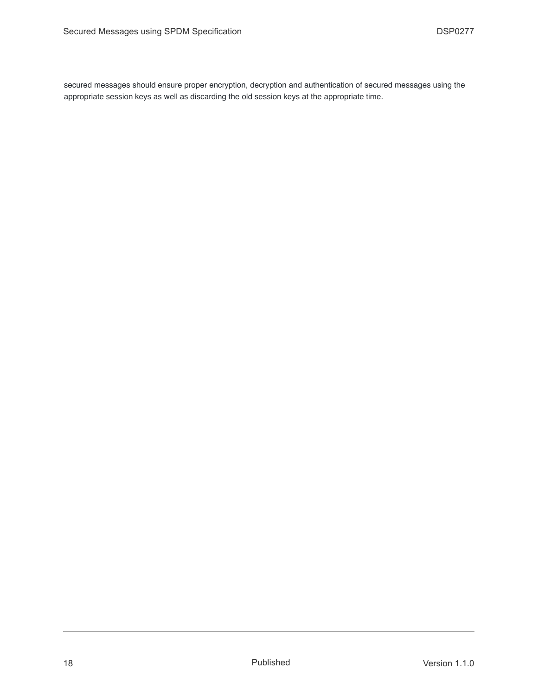secured messages should ensure proper encryption, decryption and authentication of secured messages using the appropriate session keys as well as discarding the old session keys at the appropriate time.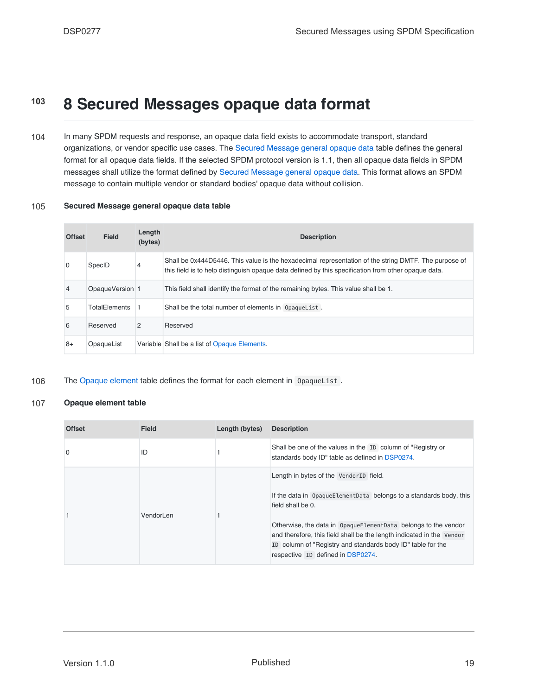# <span id="page-18-0"></span>**<sup>103</sup> 8 Secured Messages opaque data format**

104 In many SPDM requests and response, an opaque data field exists to accommodate transport, standard organizations, or vendor specific use cases. The [Secured Message general opaque data](#page-18-1) table defines the general format for all opaque data fields. If the selected SPDM protocol version is 1.1, then all opaque data fields in SPDM messages shall utilize the format defined by [Secured Message general opaque data](#page-18-1). This format allows an SPDM message to contain multiple vendor or standard bodies' opaque data without collision.

#### <span id="page-18-1"></span>105 **Secured Message general opaque data table**

| <b>Offset</b>  | <b>Field</b>         | Length<br>(bytes) | <b>Description</b>                                                                                                                                                                                          |
|----------------|----------------------|-------------------|-------------------------------------------------------------------------------------------------------------------------------------------------------------------------------------------------------------|
| 0              | SpecID               | 4                 | Shall be 0x444D5446. This value is the hexadecimal representation of the string DMTF. The purpose of<br>this field is to help distinguish opaque data defined by this specification from other opaque data. |
| $\overline{4}$ | OpaqueVersion 1      |                   | This field shall identify the format of the remaining bytes. This value shall be 1.                                                                                                                         |
| 5              | <b>TotalElements</b> |                   | Shall be the total number of elements in OpaqueList.                                                                                                                                                        |
| 6              | Reserved             | 2                 | Reserved                                                                                                                                                                                                    |
| $8+$           | OpaqueList           |                   | Variable Shall be a list of Opaque Elements.                                                                                                                                                                |

#### 106 The [Opaque element](#page-18-2) table defines the format for each element in OpaqueList.

#### <span id="page-18-2"></span>107 **Opaque element table**

| <b>Offset</b> | <b>Field</b> | Length (bytes) | <b>Description</b>                                                                                                                                                                                                                                               |
|---------------|--------------|----------------|------------------------------------------------------------------------------------------------------------------------------------------------------------------------------------------------------------------------------------------------------------------|
| 0             | ID           |                | Shall be one of the values in the ID column of "Registry or<br>standards body ID" table as defined in DSP0274.                                                                                                                                                   |
|               |              |                | Length in bytes of the VendorID field.<br>If the data in Opaque Element Data belongs to a standards body, this                                                                                                                                                   |
|               | VendorLen    |                | field shall be 0.<br>Otherwise, the data in OpaqueElementData belongs to the vendor<br>and therefore, this field shall be the length indicated in the Vendor<br>ID column of "Registry and standards body ID" table for the<br>respective ID defined in DSP0274. |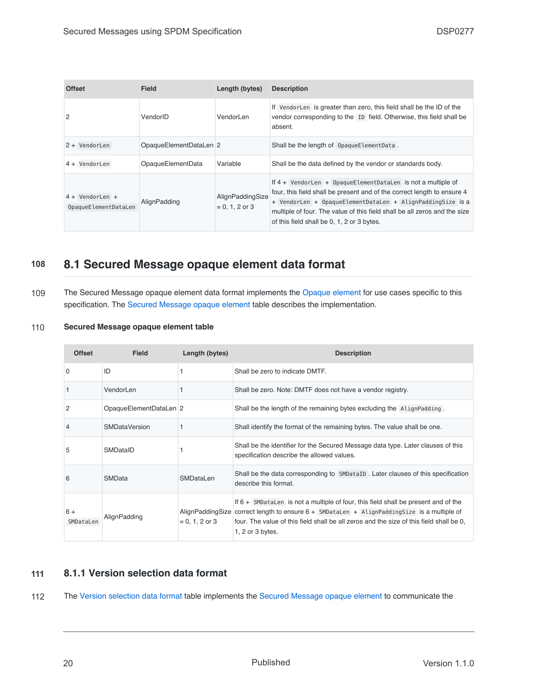| <b>Offset</b>                             | <b>Field</b>           | Length (bytes)                       | <b>Description</b>                                                                                                                                                                                                                                                                                                                 |
|-------------------------------------------|------------------------|--------------------------------------|------------------------------------------------------------------------------------------------------------------------------------------------------------------------------------------------------------------------------------------------------------------------------------------------------------------------------------|
| 2                                         | VendorID               | VendorLen                            | If VendorLen is greater than zero, this field shall be the ID of the<br>vendor corresponding to the ID field. Otherwise, this field shall be<br>absent.                                                                                                                                                                            |
| $2 +$ VendorLen                           | OpaqueElementDataLen 2 |                                      | Shall be the length of OpaqueElementData.                                                                                                                                                                                                                                                                                          |
| $4 +$ VendorLen                           | OpaqueElementData      | Variable                             | Shall be the data defined by the vendor or standards body.                                                                                                                                                                                                                                                                         |
| $4 +$ VendorLen +<br>OpaqueElementDataLen | AlignPadding           | AlignPaddingSize<br>$= 0, 1, 2$ or 3 | If $4 +$ VendorLen + OpaqueElementDataLen is not a multiple of<br>four, this field shall be present and of the correct length to ensure 4<br>+ VendorLen + OpaqueElementDataLen + AlignPaddingSize is a<br>multiple of four. The value of this field shall be all zeros and the size<br>of this field shall be 0, 1, 2 or 3 bytes. |

# <span id="page-19-0"></span>**108 8.1 Secured Message opaque element data format**

109 The Secured Message opaque element data format implements the [Opaque element](#page-18-2) for use cases specific to this specification. The [Secured Message opaque element](#page-19-2) table describes the implementation.

#### <span id="page-19-2"></span>110 **Secured Message opaque element table**

| <b>Offset</b>     | <b>Field</b>           | Length (bytes)   | <b>Description</b>                                                                                                                                                                                                                                                                                          |
|-------------------|------------------------|------------------|-------------------------------------------------------------------------------------------------------------------------------------------------------------------------------------------------------------------------------------------------------------------------------------------------------------|
| $\Omega$          | ID                     |                  | Shall be zero to indicate DMTF.                                                                                                                                                                                                                                                                             |
|                   | VendorLen              |                  | Shall be zero. Note: DMTF does not have a vendor registry.                                                                                                                                                                                                                                                  |
| 2                 | OpaqueElementDataLen 2 |                  | Shall be the length of the remaining bytes excluding the AlignPadding.                                                                                                                                                                                                                                      |
| 4                 | <b>SMDataVersion</b>   |                  | Shall identify the format of the remaining bytes. The value shall be one.                                                                                                                                                                                                                                   |
| 5                 | SMDataID               |                  | Shall be the identifier for the Secured Message data type. Later clauses of this<br>specification describe the allowed values.                                                                                                                                                                              |
| 6                 | <b>SMData</b>          | SMDataLen        | Shall be the data corresponding to SMDataID. Later clauses of this specification<br>describe this format.                                                                                                                                                                                                   |
| $6+$<br>SMDataLen | AlignPadding           | $= 0, 1, 2$ or 3 | If $6 +$ SMD at allen is not a multiple of four, this field shall be present and of the<br>AlignPaddingSize correct length to ensure $6 +$ SMDataLen + AlignPaddingSize is a multiple of<br>four. The value of this field shall be all zeros and the size of this field shall be 0.<br>1, $2$ or $3$ bytes. |

### <span id="page-19-1"></span>**111 8.1.1 Version selection data format**

112 The [Version selection data format](#page-20-1) table implements the [Secured Message opaque element](#page-19-2) to communicate the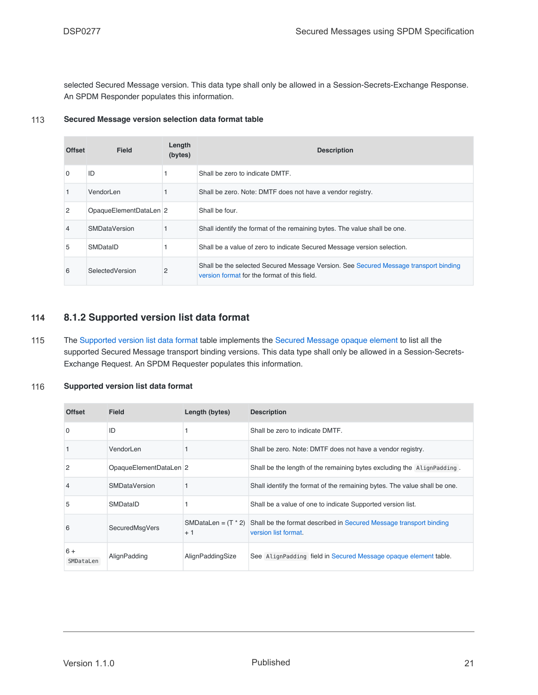selected Secured Message version. This data type shall only be allowed in a Session-Secrets-Exchange Response. An SPDM Responder populates this information.

#### <span id="page-20-1"></span>113 **Secured Message version selection data format table**

| <b>Offset</b>  | <b>Field</b>           | Length<br>(bytes) | <b>Description</b>                                                                                                                   |
|----------------|------------------------|-------------------|--------------------------------------------------------------------------------------------------------------------------------------|
| $\Omega$       | ID                     |                   | Shall be zero to indicate DMTF.                                                                                                      |
| $\mathbf{1}$   | VendorLen              |                   | Shall be zero. Note: DMTF does not have a vendor registry.                                                                           |
| $\overline{2}$ | OpaqueElementDataLen 2 |                   | Shall be four.                                                                                                                       |
| $\overline{4}$ | <b>SMDataVersion</b>   |                   | Shall identify the format of the remaining bytes. The value shall be one.                                                            |
| 5              | SMDataID               |                   | Shall be a value of zero to indicate Secured Message version selection.                                                              |
| 6              | SelectedVersion        | 2                 | Shall be the selected Secured Message Version. See Secured Message transport binding<br>version format for the format of this field. |

### <span id="page-20-0"></span>**114 8.1.2 Supported version list data format**

115 The [Supported version list data format](#page-20-2) table implements the [Secured Message opaque element](#page-19-2) to list all the supported Secured Message transport binding versions. This data type shall only be allowed in a Session-Secrets-Exchange Request. An SPDM Requester populates this information.

### <span id="page-20-2"></span>116 **Supported version list data format**

| <b>Offset</b>     | <b>Field</b>           | Length (bytes)   | <b>Description</b>                                                                                               |
|-------------------|------------------------|------------------|------------------------------------------------------------------------------------------------------------------|
| $\Omega$          | ID                     |                  | Shall be zero to indicate DMTF.                                                                                  |
| $\mathbf{1}$      | VendorLen              |                  | Shall be zero. Note: DMTF does not have a vendor registry.                                                       |
| 2                 | OpaqueElementDataLen 2 |                  | Shall be the length of the remaining bytes excluding the AlignPadding.                                           |
| $\overline{4}$    | SMDataVersion          |                  | Shall identify the format of the remaining bytes. The value shall be one.                                        |
| 5                 | SMDataID               |                  | Shall be a value of one to indicate Supported version list.                                                      |
| 6                 | SecuredMsqVers         | $+1$             | SMDataLen = $(T * 2)$ Shall be the format described in Secured Message transport binding<br>version list format. |
| $6+$<br>SMDataLen | AlignPadding           | AlignPaddingSize | See AlignPadding field in Secured Message opaque element table.                                                  |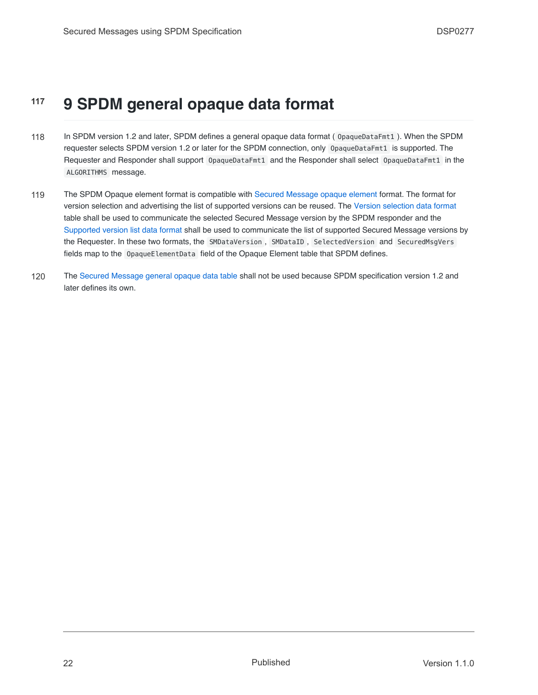# <span id="page-21-0"></span>**<sup>117</sup> 9 SPDM general opaque data format**

- 118 In SPDM version 1.2 and later, SPDM defines a general opaque data format ( OpaqueDataFmt1 ). When the SPDM requester selects SPDM version 1.2 or later for the SPDM connection, only 0paqueDataFmt1 is supported. The Requester and Responder shall support OpaqueDataFmt1 and the Responder shall select OpaqueDataFmt1 in the ALGORITHMS message.
- 119 The SPDM Opaque element format is compatible with [Secured Message opaque element](#page-18-2) format. The format for version selection and advertising the list of supported versions can be reused. The [Version selection data format](#page-20-1) table shall be used to communicate the selected Secured Message version by the SPDM responder and the [Supported version list data format](#page-20-2) shall be used to communicate the list of supported Secured Message versions by the Requester. In these two formats, the SMDataVersion , SMDataID , SelectedVersion and SecuredMsgVers fields map to the OpaqueElementData field of the Opaque Element table that SPDM defines.
- 120 The [Secured Message general opaque data table](#page-18-1) shall not be used because SPDM specification version 1.2 and later defines its own.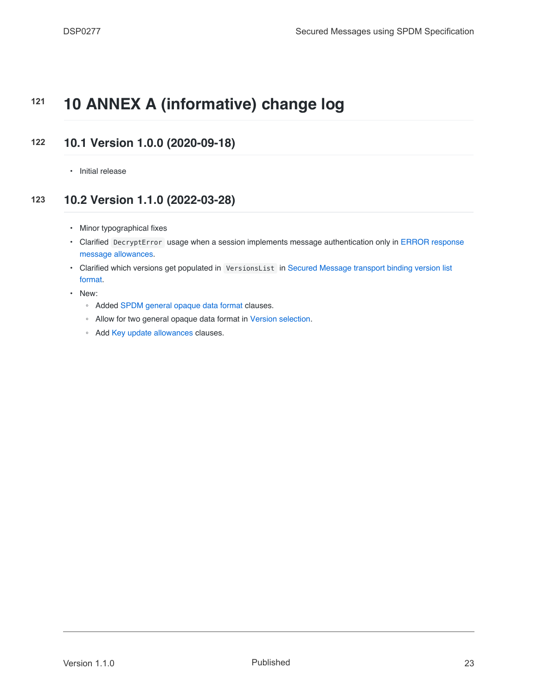# <span id="page-22-0"></span>**<sup>121</sup> 10 ANNEX A (informative) change log**

# <span id="page-22-1"></span>**122 10.1 Version 1.0.0 (2020-09-18)**

• Initial release

### <span id="page-22-2"></span>**123 10.2 Version 1.1.0 (2022-03-28)**

- Minor typographical fixes
- Clarified DecryptError usage when a session implements message authentication only in [ERROR response](#page-16-3) [message allowances](#page-16-3).
- Clarified which versions get populated in VersionsList in [Secured Message transport binding version list](#page-14-2) [format](#page-14-2).
- New:
	- Added [SPDM general opaque data format](#page-21-0) clauses.
	- Allow for two general opaque data format in [Version selection](#page-15-0).
	- Add [Key update allowances](#page-16-4) clauses.